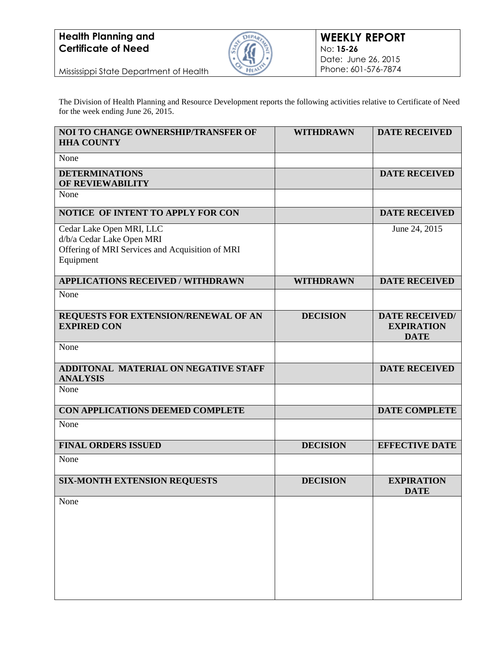

Mississippi State Department of Health

The Division of Health Planning and Resource Development reports the following activities relative to Certificate of Need for the week ending June 26, 2015.

| <b>NOI TO CHANGE OWNERSHIP/TRANSFER OF</b><br><b>HHA COUNTY</b>                                                       | <b>WITHDRAWN</b> | <b>DATE RECEIVED</b>                                      |
|-----------------------------------------------------------------------------------------------------------------------|------------------|-----------------------------------------------------------|
| None                                                                                                                  |                  |                                                           |
| <b>DETERMINATIONS</b><br><b>OF REVIEWABILITY</b>                                                                      |                  | <b>DATE RECEIVED</b>                                      |
| None                                                                                                                  |                  |                                                           |
| <b>NOTICE OF INTENT TO APPLY FOR CON</b>                                                                              |                  | <b>DATE RECEIVED</b>                                      |
| Cedar Lake Open MRI, LLC<br>d/b/a Cedar Lake Open MRI<br>Offering of MRI Services and Acquisition of MRI<br>Equipment |                  | June 24, 2015                                             |
| <b>APPLICATIONS RECEIVED / WITHDRAWN</b>                                                                              | <b>WITHDRAWN</b> | <b>DATE RECEIVED</b>                                      |
| None                                                                                                                  |                  |                                                           |
| REQUESTS FOR EXTENSION/RENEWAL OF AN<br><b>EXPIRED CON</b>                                                            | <b>DECISION</b>  | <b>DATE RECEIVED/</b><br><b>EXPIRATION</b><br><b>DATE</b> |
| None                                                                                                                  |                  |                                                           |
| <b>ADDITONAL MATERIAL ON NEGATIVE STAFF</b><br><b>ANALYSIS</b>                                                        |                  | <b>DATE RECEIVED</b>                                      |
| None                                                                                                                  |                  |                                                           |
| CON APPLICATIONS DEEMED COMPLETE                                                                                      |                  | <b>DATE COMPLETE</b>                                      |
| None                                                                                                                  |                  |                                                           |
| <b>FINAL ORDERS ISSUED</b>                                                                                            | <b>DECISION</b>  | <b>EFFECTIVE DATE</b>                                     |
| None                                                                                                                  |                  |                                                           |
| <b>SIX-MONTH EXTENSION REQUESTS</b>                                                                                   | <b>DECISION</b>  | <b>EXPIRATION</b><br><b>DATE</b>                          |
| None                                                                                                                  |                  |                                                           |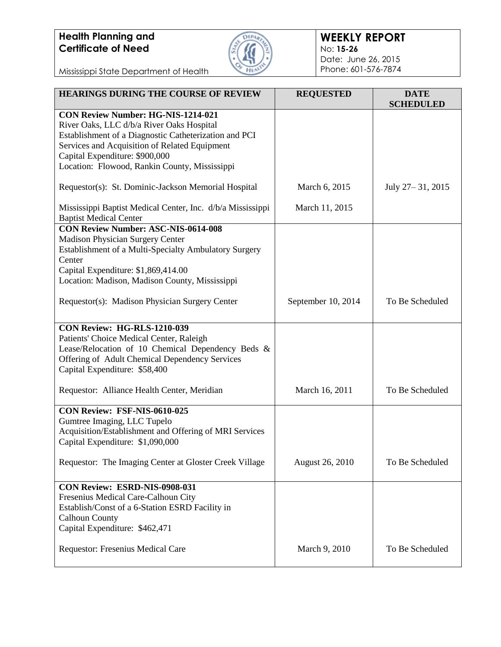

#### **WEEKLY REPORT** No: **15-26** Date: June 26, 2015 Phone: 601-576-7874

Mississippi State Department of Health

| <b>HEARINGS DURING THE COURSE OF REVIEW</b>                                                                                                                                                                                                                                  | <b>REQUESTED</b>   | <b>DATE</b><br><b>SCHEDULED</b> |
|------------------------------------------------------------------------------------------------------------------------------------------------------------------------------------------------------------------------------------------------------------------------------|--------------------|---------------------------------|
| CON Review Number: HG-NIS-1214-021<br>River Oaks, LLC d/b/a River Oaks Hospital<br>Establishment of a Diagnostic Catheterization and PCI<br>Services and Acquisition of Related Equipment<br>Capital Expenditure: \$900,000<br>Location: Flowood, Rankin County, Mississippi |                    |                                 |
| Requestor(s): St. Dominic-Jackson Memorial Hospital                                                                                                                                                                                                                          | March 6, 2015      | July 27-31, 2015                |
| Mississippi Baptist Medical Center, Inc. d/b/a Mississippi<br><b>Baptist Medical Center</b>                                                                                                                                                                                  | March 11, 2015     |                                 |
| <b>CON Review Number: ASC-NIS-0614-008</b><br><b>Madison Physician Surgery Center</b><br>Establishment of a Multi-Specialty Ambulatory Surgery<br>Center<br>Capital Expenditure: \$1,869,414.00<br>Location: Madison, Madison County, Mississippi                            |                    |                                 |
| Requestor(s): Madison Physician Surgery Center                                                                                                                                                                                                                               | September 10, 2014 | To Be Scheduled                 |
| <b>CON Review: HG-RLS-1210-039</b><br>Patients' Choice Medical Center, Raleigh<br>Lease/Relocation of 10 Chemical Dependency Beds &<br>Offering of Adult Chemical Dependency Services<br>Capital Expenditure: \$58,400                                                       |                    |                                 |
| Requestor: Alliance Health Center, Meridian                                                                                                                                                                                                                                  | March 16, 2011     | To Be Scheduled                 |
| CON Review: FSF-NIS-0610-025<br>Gumtree Imaging, LLC Tupelo<br>Acquisition/Establishment and Offering of MRI Services<br>Capital Expenditure: \$1,090,000                                                                                                                    |                    |                                 |
| Requestor: The Imaging Center at Gloster Creek Village                                                                                                                                                                                                                       | August 26, 2010    | To Be Scheduled                 |
| CON Review: ESRD-NIS-0908-031<br>Fresenius Medical Care-Calhoun City<br>Establish/Const of a 6-Station ESRD Facility in<br><b>Calhoun County</b><br>Capital Expenditure: \$462,471                                                                                           |                    |                                 |
| Requestor: Fresenius Medical Care                                                                                                                                                                                                                                            | March 9, 2010      | To Be Scheduled                 |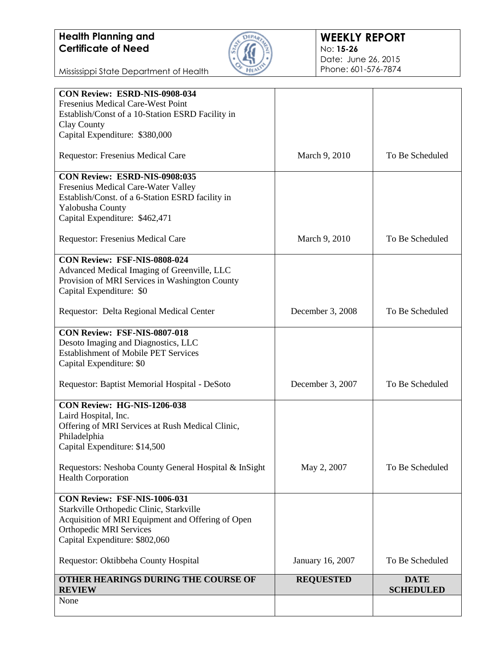

#### **WEEKLY REPORT** No: **15-26** Date: June 26, 2015 Phone: 601-576-7874

Mississippi State Department of Health

| Fresenius Medical Care-West Point<br>Establish/Const of a 10-Station ESRD Facility in<br>Clay County<br>Capital Expenditure: \$380,000<br>Requestor: Fresenius Medical Care |                  |                                 |
|-----------------------------------------------------------------------------------------------------------------------------------------------------------------------------|------------------|---------------------------------|
|                                                                                                                                                                             |                  |                                 |
|                                                                                                                                                                             |                  |                                 |
|                                                                                                                                                                             |                  |                                 |
|                                                                                                                                                                             |                  |                                 |
|                                                                                                                                                                             | March 9, 2010    | To Be Scheduled                 |
| CON Review: ESRD-NIS-0908:035                                                                                                                                               |                  |                                 |
| Fresenius Medical Care-Water Valley                                                                                                                                         |                  |                                 |
| Establish/Const. of a 6-Station ESRD facility in                                                                                                                            |                  |                                 |
| Yalobusha County                                                                                                                                                            |                  |                                 |
| Capital Expenditure: \$462,471                                                                                                                                              |                  |                                 |
| Requestor: Fresenius Medical Care                                                                                                                                           | March 9, 2010    | To Be Scheduled                 |
| CON Review: FSF-NIS-0808-024                                                                                                                                                |                  |                                 |
| Advanced Medical Imaging of Greenville, LLC                                                                                                                                 |                  |                                 |
| Provision of MRI Services in Washington County                                                                                                                              |                  |                                 |
| Capital Expenditure: \$0                                                                                                                                                    |                  |                                 |
| Requestor: Delta Regional Medical Center                                                                                                                                    | December 3, 2008 | To Be Scheduled                 |
| CON Review: FSF-NIS-0807-018                                                                                                                                                |                  |                                 |
| Desoto Imaging and Diagnostics, LLC                                                                                                                                         |                  |                                 |
| <b>Establishment of Mobile PET Services</b>                                                                                                                                 |                  |                                 |
| Capital Expenditure: \$0                                                                                                                                                    |                  |                                 |
| Requestor: Baptist Memorial Hospital - DeSoto                                                                                                                               | December 3, 2007 | To Be Scheduled                 |
| CON Review: HG-NIS-1206-038                                                                                                                                                 |                  |                                 |
| Laird Hospital, Inc.                                                                                                                                                        |                  |                                 |
| Offering of MRI Services at Rush Medical Clinic,                                                                                                                            |                  |                                 |
| Philadelphia                                                                                                                                                                |                  |                                 |
| Capital Expenditure: \$14,500                                                                                                                                               |                  |                                 |
| Requestors: Neshoba County General Hospital & InSight                                                                                                                       | May 2, 2007      | To Be Scheduled                 |
| <b>Health Corporation</b>                                                                                                                                                   |                  |                                 |
| CON Review: FSF-NIS-1006-031                                                                                                                                                |                  |                                 |
| Starkville Orthopedic Clinic, Starkville                                                                                                                                    |                  |                                 |
| Acquisition of MRI Equipment and Offering of Open                                                                                                                           |                  |                                 |
| <b>Orthopedic MRI Services</b>                                                                                                                                              |                  |                                 |
| Capital Expenditure: \$802,060                                                                                                                                              |                  |                                 |
| Requestor: Oktibbeha County Hospital                                                                                                                                        | January 16, 2007 | To Be Scheduled                 |
| OTHER HEARINGS DURING THE COURSE OF<br><b>REVIEW</b>                                                                                                                        | <b>REQUESTED</b> | <b>DATE</b><br><b>SCHEDULED</b> |